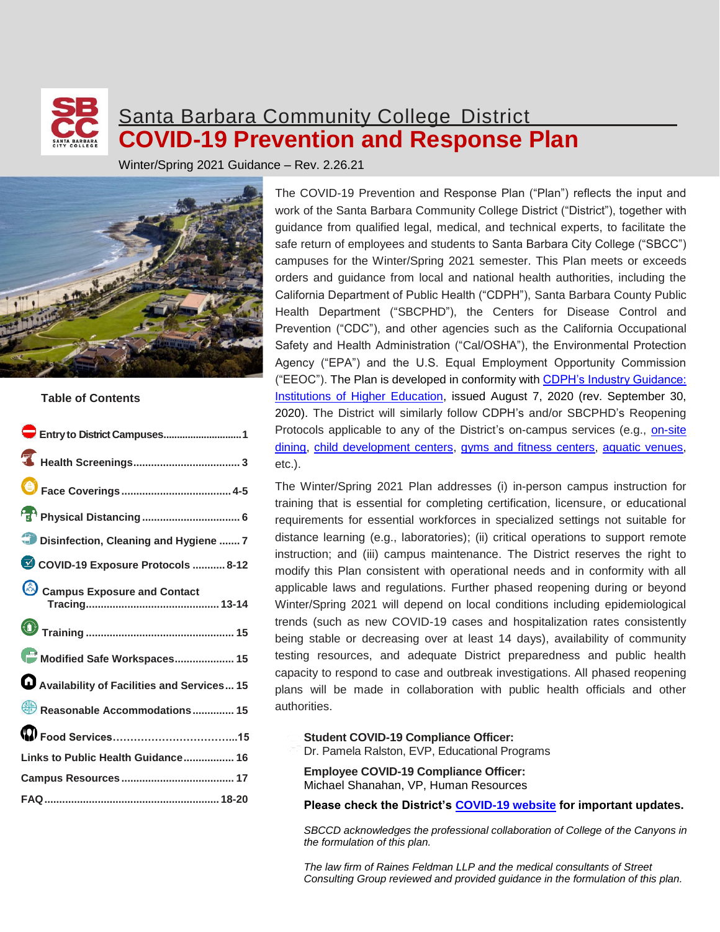## Santa Barbara Community College District **COVID-19 Prevention and Response Plan**

Winter/Spring 2021 Guidance – Rev. 2.26.21



#### **Table of Contents**

The COVID-19 Prevention and Response Plan ("Plan") reflects the input and work of the Santa Barbara Community College District ("District"), together with guidance from qualified legal, medical, and technical experts, to facilitate the safe return of employees and students to Santa Barbara City College ("SBCC") campuses for the Winter/Spring 2021 semester. This Plan meets or exceeds orders and guidance from local and national health authorities, including the California Department of Public Health ("CDPH"), Santa Barbara County Public Health Department ("SBCPHD"), the Centers for Disease Control and Prevention ("CDC"), and other agencies such as the California Occupational Safety and Health Administration ("Cal/OSHA"), the Environmental Protection Agency ("EPA") and the U.S. Equal Employment Opportunity Commission ("EEOC"). The Plan is developed in conformity with [CDPH's Industry Guidance:](https://files.covid19.ca.gov/pdf/guidance-higher-education--en.pdf)  [Institutions of Higher Education,](https://files.covid19.ca.gov/pdf/guidance-higher-education--en.pdf) issued August 7, 2020 (rev. September 30, 2020). The District will similarly follow CDPH's and/or SBCPHD's Reopening Protocols applicable to any of the District's on-campus services (e.g., [on-site](https://files.covid19.ca.gov/pdf/guidance-dine-in-restaurants.pdf)  [dining,](https://files.covid19.ca.gov/pdf/guidance-dine-in-restaurants.pdf) [child development centers,](https://files.covid19.ca.gov/pdf/guidance-childcare--en.pdf) [gyms and fitness](https://files.covid19.ca.gov/pdf/guidance-fitness.pdf) centers, [aquatic venues,](https://files.covid19.ca.gov/pdf/guidance-fitness.pdf) etc.).

The Winter/Spring 2021 Plan addresses (i) in-person campus instruction for training that is essential for completing certification, licensure, or educational requirements for essential workforces in specialized settings not suitable for distance learning (e.g., laboratories); (ii) critical operations to support remote instruction; and (iii) campus maintenance. The District reserves the right to modify this Plan consistent with operational needs and in conformity with all applicable laws and regulations. Further phased reopening during or beyond Winter/Spring 2021 will depend on local conditions including epidemiological trends (such as new COVID-19 cases and hospitalization rates consistently being stable or decreasing over at least 14 days), availability of community testing resources, and adequate District preparedness and public health capacity to respond to case and outbreak investigations. All phased reopening plans will be made in collaboration with public health officials and other authorities.

#### **Student COVID-19 Compliance Officer:**

Dr. Pamela Ralston, EVP, Educational Programs

**Employee COVID-19 Compliance Officer:** Michael Shanahan, VP, Human Resources

**Please check the District's [COVID-19 website](https://www.sbcc.edu/newsandevents/covid-19/) for important updates.**

*SBCCD acknowledges the professional collaboration of College of the Canyons in the formulation of this plan.*

*The law firm of Raines Feldman LLP and the medical consultants of Street Consulting Group reviewed and provided guidance in the formulation of this plan.*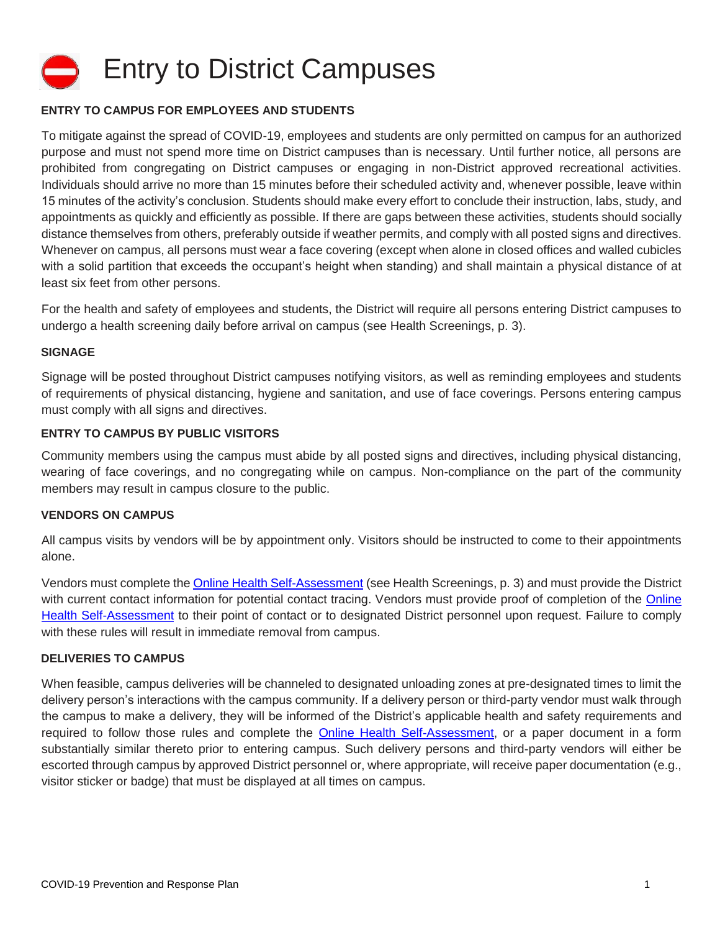

#### **ENTRY TO CAMPUS FOR EMPLOYEES AND STUDENTS**

To mitigate against the spread of COVID-19, employees and students are only permitted on campus for an authorized purpose and must not spend more time on District campuses than is necessary. Until further notice, all persons are prohibited from congregating on District campuses or engaging in non-District approved recreational activities. Individuals should arrive no more than 15 minutes before their scheduled activity and, whenever possible, leave within 15 minutes of the activity's conclusion. Students should make every effort to conclude their instruction, labs, study, and appointments as quickly and efficiently as possible. If there are gaps between these activities, students should socially distance themselves from others, preferably outside if weather permits, and comply with all posted signs and directives. Whenever on campus, all persons must wear a face covering (except when alone in closed offices and walled cubicles with a solid partition that exceeds the occupant's height when standing) and shall maintain a physical distance of at least six feet from other persons.

For the health and safety of employees and students, the District will require all persons entering District campuses to undergo a health screening daily before arrival on campus (see Health Screenings, p. 3).

#### **SIGNAGE**

Signage will be posted throughout District campuses notifying visitors, as well as reminding employees and students of requirements of physical distancing, hygiene and sanitation, and use of face coverings. Persons entering campus must comply with all signs and directives.

#### **ENTRY TO CAMPUS BY PUBLIC VISITORS**

Community members using the campus must abide by all posted signs and directives, including physical distancing, wearing of face coverings, and no congregating while on campus. Non-compliance on the part of the community members may result in campus closure to the public.

#### **VENDORS ON CAMPUS**

All campus visits by vendors will be by appointment only. Visitors should be instructed to come to their appointments alone.

Vendors must complete the [Online Health Self-Assessment](http://www.sbcc.edu/newsandevents/covid-19/index.php) (see Health Screenings, p. 3) and must provide the District with current contact information for potential contact tracing. Vendors must provide proof of completion of the Online [Health Self-Assessment](http://www.sbcc.edu/newsandevents/covid-19/index.php) to their point of contact or to designated District personnel upon request. Failure to comply with these rules will result in immediate removal from campus.

#### **DELIVERIES TO CAMPUS**

When feasible, campus deliveries will be channeled to designated unloading zones at pre-designated times to limit the delivery person's interactions with the campus community. If a delivery person or third-party vendor must walk through the campus to make a delivery, they will be informed of the District's applicable health and safety requirements and required to follow those rules and complete the [Online Health Self-Assessment,](http://www.sbcc.edu/newsandevents/covid-19/index.php) or a paper document in a form substantially similar thereto prior to entering campus. Such delivery persons and third-party vendors will either be escorted through campus by approved District personnel or, where appropriate, will receive paper documentation (e.g., visitor sticker or badge) that must be displayed at all times on campus.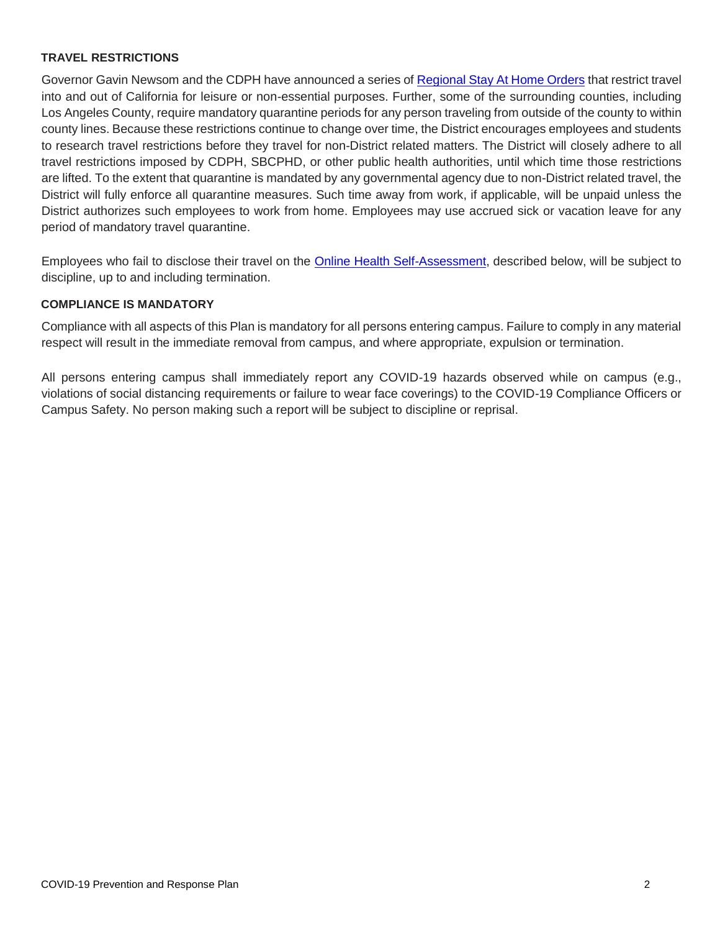#### **TRAVEL RESTRICTIONS**

Governor Gavin Newsom and the CDPH have announced a series o[f Regional Stay At Home Orders](https://covid19.ca.gov/stay-home-except-for-essential-needs/#regional-stay-home-order) that restrict travel into and out of California for leisure or non-essential purposes. Further, some of the surrounding counties, including Los Angeles County, require mandatory quarantine periods for any person traveling from outside of the county to within county lines. Because these restrictions continue to change over time, the District encourages employees and students to research travel restrictions before they travel for non-District related matters. The District will closely adhere to all travel restrictions imposed by CDPH, SBCPHD, or other public health authorities, until which time those restrictions are lifted. To the extent that quarantine is mandated by any governmental agency due to non-District related travel, the District will fully enforce all quarantine measures. Such time away from work, if applicable, will be unpaid unless the District authorizes such employees to work from home. Employees may use accrued sick or vacation leave for any period of mandatory travel quarantine.

Employees who fail to disclose their travel on the [Online Health Self-Assessment,](https://www.canyons.edu/administration/pio/notices/healthlog.php) described below, will be subject to discipline, up to and including termination.

#### **COMPLIANCE IS MANDATORY**

Compliance with all aspects of this Plan is mandatory for all persons entering campus. Failure to comply in any material respect will result in the immediate removal from campus, and where appropriate, expulsion or termination.

All persons entering campus shall immediately report any COVID-19 hazards observed while on campus (e.g., violations of social distancing requirements or failure to wear face coverings) to the COVID-19 Compliance Officers or Campus Safety. No person making such a report will be subject to discipline or reprisal.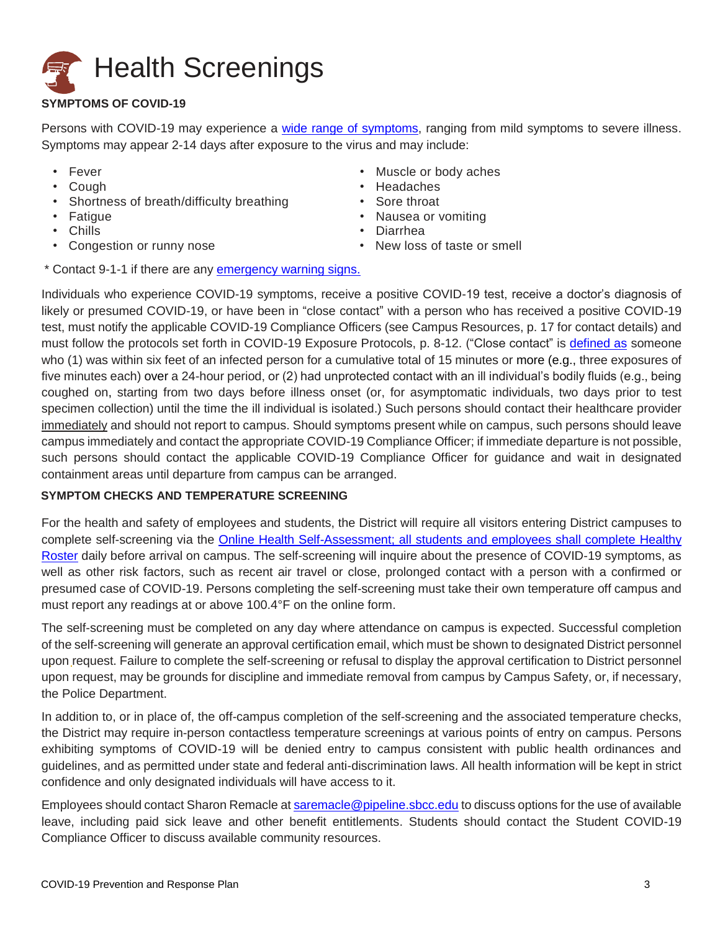# **Health Screenings**

### **SYMPTOMS OF COVID-19**

Persons with COVID-19 may experience a [wide range of symptoms,](https://www.cdc.gov/coronavirus/2019-ncov/symptoms-testing/symptoms.html) ranging from mild symptoms to severe illness. Symptoms may appear 2-14 days after exposure to the virus and may include:

- Fever
- Cough
- Shortness of breath/difficulty breathing
- Fatigue
- Chills
- Congestion or runny nose
- Muscle or body aches
- **Headaches**
- Sore throat
- Nausea or vomiting
- Diarrhea
- New loss of taste or smell
- \* Contact 9-1-1 if there are any [emergency warning signs.](https://www.cdc.gov/coronavirus/2019-ncov/symptoms-testing/symptoms.html)

Individuals who experience COVID-19 symptoms, receive a positive COVID-19 test, receive a doctor's diagnosis of likely or presumed COVID-19, or have been in "close contact" with a person who has received a positive COVID-19 test, must notify the applicable COVID-19 Compliance Officers (see Campus Resources, p. 17 for contact details) and must follow the protocols set forth in COVID-19 Exposure Protocols, p. 8-12. ("Close contact" is [defined as](https://www.cdc.gov/coronavirus/2019-ncov/php/contact-tracing/contact-tracing-plan/appendix.html#contact) someone who (1) was within six feet of an infected person for a cumulative total of 15 minutes or more (e.g., three exposures of five minutes each) over a 24-hour period, or (2) had unprotected contact with an ill individual's bodily fluids (e.g., being coughed on, starting from two days before illness onset (or, for asymptomatic individuals, two days prior to test specimen collection) until the time the ill individual is isolated.) Such persons should contact their healthcare provider immediately and should not report to campus. Should symptoms present while on campus, such persons should leave campus immediately and contact the appropriate COVID-19 Compliance Officer; if immediate departure is not possible, such persons should contact the applicable COVID-19 Compliance Officer for guidance and wait in designated containment areas until departure from campus can be arranged.

#### **SYMPTOM CHECKS AND TEMPERATURE SCREENING**

For the health and safety of employees and students, the District will require all visitors entering District campuses to complete self-screening via the [Online Health Self-Assessment;](http://www.sbcc.edu/newsandevents/covid-19/index.php) all students and employees shall complete [Healthy](https://www.sbcc.edu/hr/Log_in_to_your_Pipeline_Account.pdf)  [Roster](https://www.sbcc.edu/hr/Log_in_to_your_Pipeline_Account.pdf) daily before arrival on campus. The self-screening will inquire about the presence of COVID-19 symptoms, as well as other risk factors, such as recent air travel or close, prolonged contact with a person with a confirmed or presumed case of COVID-19. Persons completing the self-screening must take their own temperature off campus and must report any readings at or above 100.4°F on the online form.

The self-screening must be completed on any day where attendance on campus is expected. Successful completion of the self-screening will generate an approval certification email, which must be shown to designated District personnel upon request. Failure to complete the self-screening or refusal to display the approval certification to District personnel upon request, may be grounds for discipline and immediate removal from campus by Campus Safety, or, if necessary, the Police Department.

In addition to, or in place of, the off-campus completion of the self-screening and the associated temperature checks, the District may require in-person contactless temperature screenings at various points of entry on campus. Persons exhibiting symptoms of COVID-19 will be denied entry to campus consistent with public health ordinances and guidelines, and as permitted under state and federal anti-discrimination laws. All health information will be kept in strict confidence and only designated individuals will have access to it.

Employees should contact Sharon Remacle a[t saremacle@pipeline.sbcc.edu](mailto:saremacle@pipeline.sbcc.edu) to discuss options for the use of available leave, including paid sick leave and other benefit entitlements. Students should contact the Student COVID-19 Compliance Officer to discuss available community resources.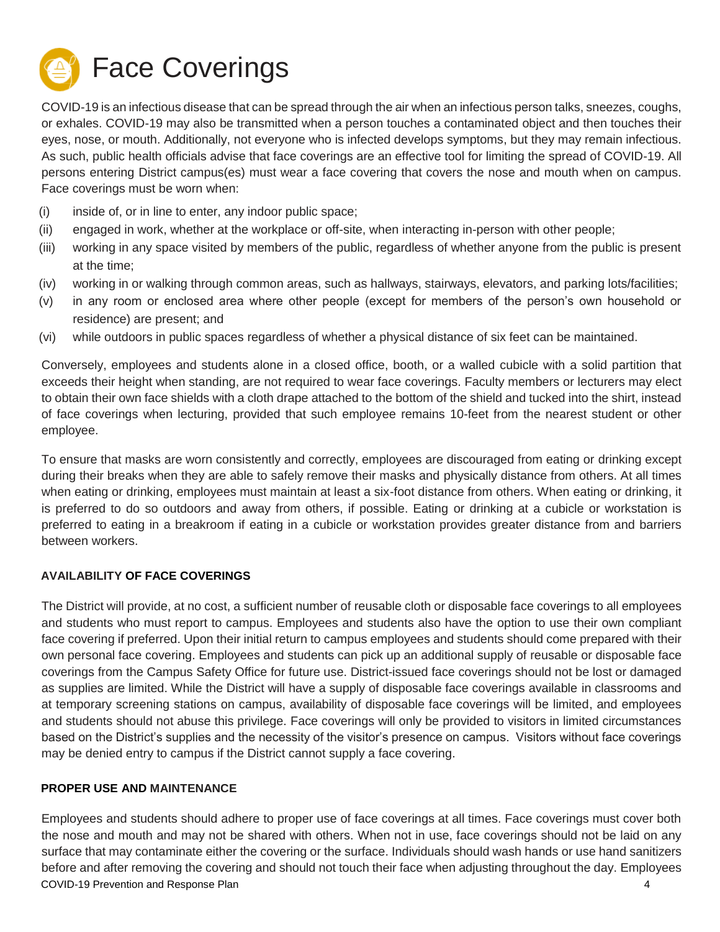

COVID-19 is an infectious disease that can be spread through the air when an infectious person talks, sneezes, coughs, or exhales. COVID-19 may also be transmitted when a person touches a contaminated object and then touches their eyes, nose, or mouth. Additionally, not everyone who is infected develops symptoms, but they may remain infectious. As such, public health officials advise that face coverings are an effective tool for limiting the spread of COVID-19. All persons entering District campus(es) must wear a face covering that covers the nose and mouth when on campus. Face coverings must be worn when:

- (i) inside of, or in line to enter, any indoor public space;
- (ii) engaged in work, whether at the workplace or off-site, when interacting in-person with other people;
- (iii) working in any space visited by members of the public, regardless of whether anyone from the public is present at the time;
- (iv) working in or walking through common areas, such as hallways, stairways, elevators, and parking lots/facilities;
- (v) in any room or enclosed area where other people (except for members of the person's own household or residence) are present; and
- (vi) while outdoors in public spaces regardless of whether a physical distance of six feet can be maintained.

Conversely, employees and students alone in a closed office, booth, or a walled cubicle with a solid partition that exceeds their height when standing, are not required to wear face coverings. Faculty members or lecturers may elect to obtain their own face shields with a cloth drape attached to the bottom of the shield and tucked into the shirt, instead of face coverings when lecturing, provided that such employee remains 10-feet from the nearest student or other employee.

To ensure that masks are worn consistently and correctly, employees are discouraged from eating or drinking except during their breaks when they are able to safely remove their masks and physically distance from others. At all times when eating or drinking, employees must maintain at least a six-foot distance from others. When eating or drinking, it is preferred to do so outdoors and away from others, if possible. Eating or drinking at a cubicle or workstation is preferred to eating in a breakroom if eating in a cubicle or workstation provides greater distance from and barriers between workers.

#### **AVAILABILITY OF FACE COVERINGS**

The District will provide, at no cost, a sufficient number of reusable cloth or disposable face coverings to all employees and students who must report to campus. Employees and students also have the option to use their own compliant face covering if preferred. Upon their initial return to campus employees and students should come prepared with their own personal face covering. Employees and students can pick up an additional supply of reusable or disposable face coverings from the Campus Safety Office for future use. District-issued face coverings should not be lost or damaged as supplies are limited. While the District will have a supply of disposable face coverings available in classrooms and at temporary screening stations on campus, availability of disposable face coverings will be limited, and employees and students should not abuse this privilege. Face coverings will only be provided to visitors in limited circumstances based on the District's supplies and the necessity of the visitor's presence on campus. Visitors without face coverings may be denied entry to campus if the District cannot supply a face covering.

#### **PROPER USE AND MAINTENANCE**

COVID-19 Prevention and Response Plan 4 Employees and students should adhere to proper use of face coverings at all times. Face coverings must cover both the nose and mouth and may not be shared with others. When not in use, face coverings should not be laid on any surface that may contaminate either the covering or the surface. Individuals should wash hands or use hand sanitizers before and after removing the covering and should not touch their face when adjusting throughout the day. Employees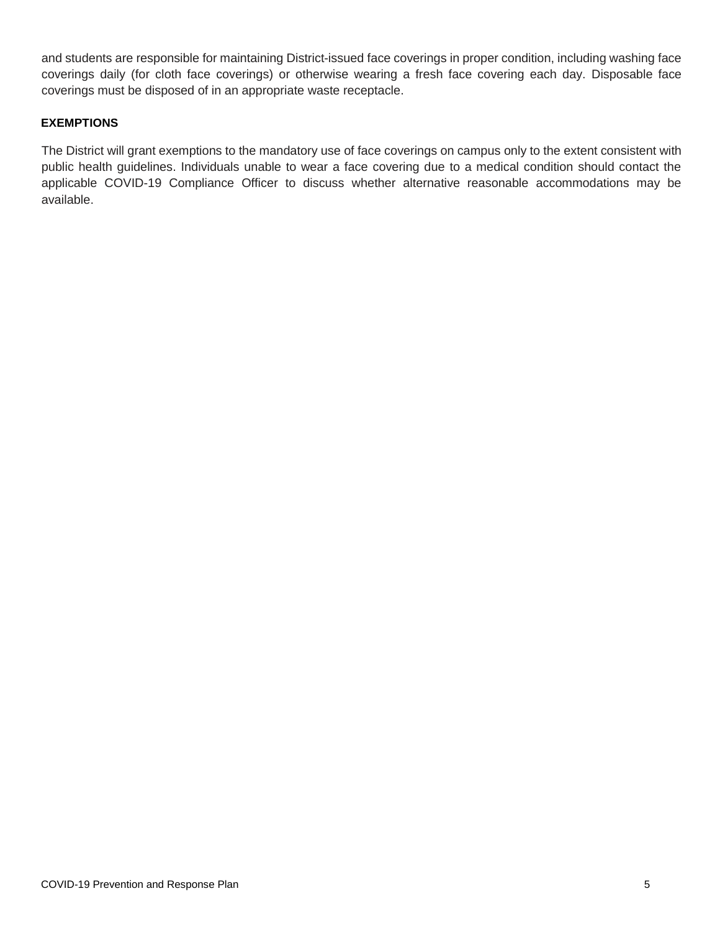and students are responsible for maintaining District-issued face coverings in proper condition, including washing face coverings daily (for cloth face coverings) or otherwise wearing a fresh face covering each day. Disposable face coverings must be disposed of in an appropriate waste receptacle.

#### **EXEMPTIONS**

The District will grant exemptions to the mandatory use of face coverings on campus only to the extent consistent with public health guidelines. Individuals unable to wear a face covering due to a medical condition should contact the applicable COVID-19 Compliance Officer to discuss whether alternative reasonable accommodations may be available.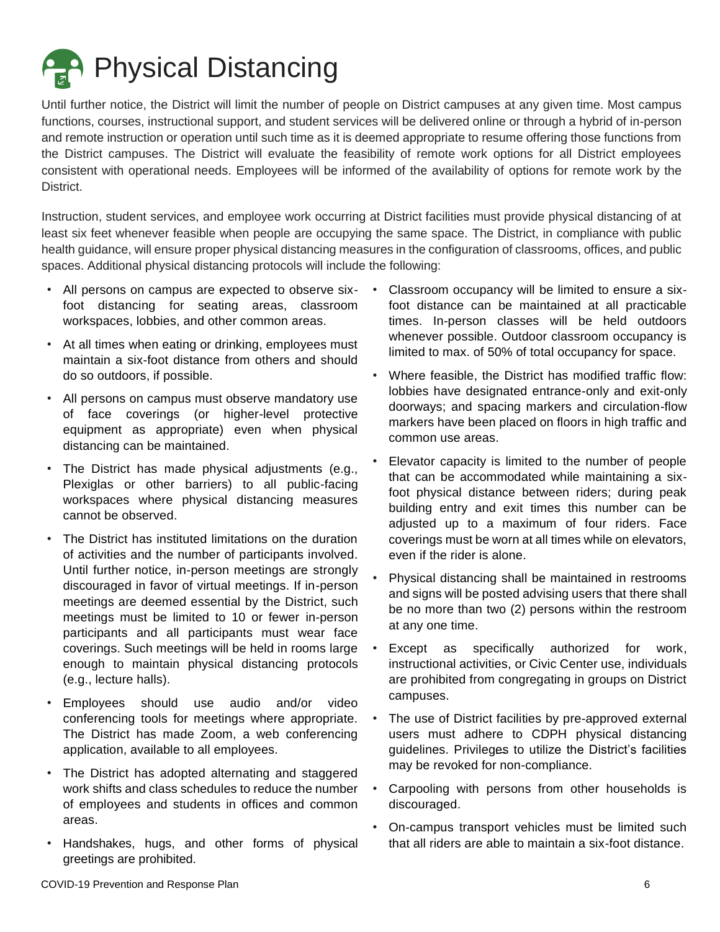**Pand Physical Distancing** 

Until further notice, the District will limit the number of people on District campuses at any given time. Most campus functions, courses, instructional support, and student services will be delivered online or through a hybrid of in-person and remote instruction or operation until such time as it is deemed appropriate to resume offering those functions from the District campuses. The District will evaluate the feasibility of remote work options for all District employees consistent with operational needs. Employees will be informed of the availability of options for remote work by the District.

Instruction, student services, and employee work occurring at District facilities must provide physical distancing of at least six feet whenever feasible when people are occupying the same space. The District, in compliance with public health guidance, will ensure proper physical distancing measures in the configuration of classrooms, offices, and public spaces. Additional physical distancing protocols will include the following:

- All persons on campus are expected to observe six- foot distancing for seating areas, classroom workspaces, lobbies, and other common areas.
- At all times when eating or drinking, employees must maintain a six-foot distance from others and should do so outdoors, if possible.
- All persons on campus must observe mandatory use of face coverings (or higher-level protective equipment as appropriate) even when physical distancing can be maintained.
- The District has made physical adjustments (e.g., Plexiglas or other barriers) to all public-facing workspaces where physical distancing measures cannot be observed.
- The District has instituted limitations on the duration of activities and the number of participants involved. Until further notice, in-person meetings are strongly discouraged in favor of virtual meetings. If in-person meetings are deemed essential by the District, such meetings must be limited to 10 or fewer in-person participants and all participants must wear face coverings. Such meetings will be held in rooms large enough to maintain physical distancing protocols (e.g., lecture halls).
- Employees should use audio and/or video conferencing tools for meetings where appropriate. The District has made Zoom, a web conferencing application, available to all employees.
- The District has adopted alternating and staggered work shifts and class schedules to reduce the number of employees and students in offices and common areas.
- Handshakes, hugs, and other forms of physical greetings are prohibited.
- Classroom occupancy will be limited to ensure a sixfoot distance can be maintained at all practicable times. In-person classes will be held outdoors whenever possible. Outdoor classroom occupancy is limited to max. of 50% of total occupancy for space.
- Where feasible, the District has modified traffic flow: lobbies have designated entrance-only and exit-only doorways; and spacing markers and circulation-flow markers have been placed on floors in high traffic and common use areas.
- Elevator capacity is limited to the number of people that can be accommodated while maintaining a sixfoot physical distance between riders; during peak building entry and exit times this number can be adjusted up to a maximum of four riders. Face coverings must be worn at all times while on elevators, even if the rider is alone.
- Physical distancing shall be maintained in restrooms and signs will be posted advising users that there shall be no more than two (2) persons within the restroom at any one time.
- Except as specifically authorized for work, instructional activities, or Civic Center use, individuals are prohibited from congregating in groups on District campuses.
- The use of District facilities by pre-approved external users must adhere to CDPH physical distancing guidelines. Privileges to utilize the District's facilities may be revoked for non-compliance.
- Carpooling with persons from other households is discouraged.
- On-campus transport vehicles must be limited such that all riders are able to maintain a six-foot distance.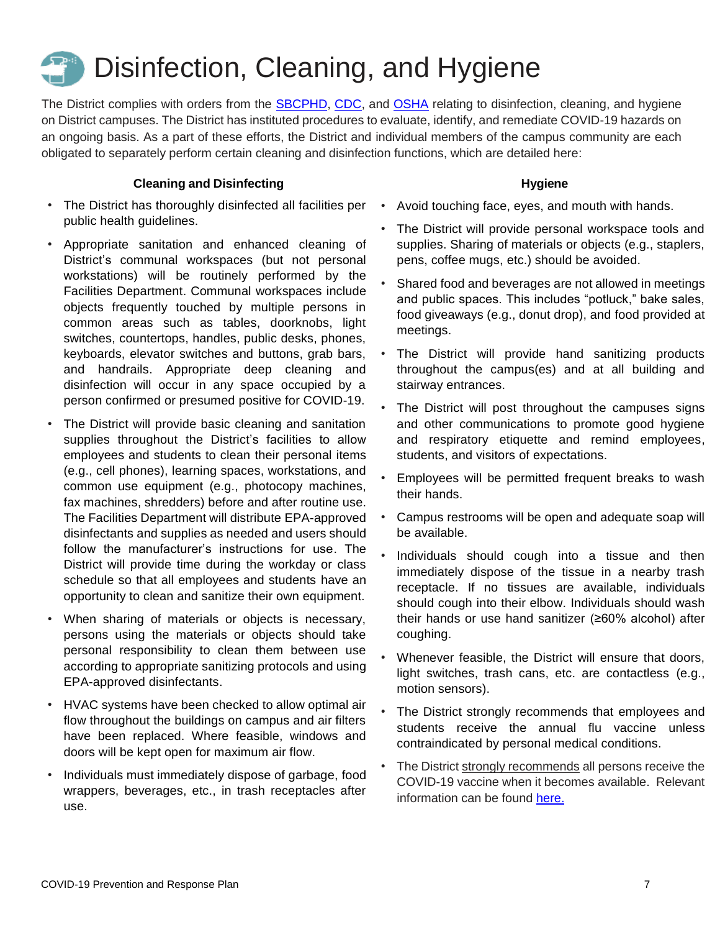## Disinfection, Cleaning, and Hygiene

The District complies with orders from the [SBCPHD,](https://countyofsb.org/uploadedFiles/phd/PROGRAMS/Disease_Control/Corona/HOO%202020-12.pdf) [CDC,](https://www.cdc.gov/coronavirus/2019-ncov/community/disinfecting-building-facility.html) and [OSHA](https://www.osha.gov/SLTC/covid-19/controlprevention.html) relating to disinfection, cleaning, and hygiene on District campuses. The District has instituted procedures to evaluate, identify, and remediate COVID-19 hazards on an ongoing basis. As a part of these efforts, the District and individual members of the campus community are each obligated to separately perform certain cleaning and disinfection functions, which are detailed here:

#### **Cleaning and Disinfecting**

- The District has thoroughly disinfected all facilities per public health guidelines.
- Appropriate sanitation and enhanced cleaning of District's communal workspaces (but not personal workstations) will be routinely performed by the Facilities Department. Communal workspaces include objects frequently touched by multiple persons in common areas such as tables, doorknobs, light switches, countertops, handles, public desks, phones, keyboards, elevator switches and buttons, grab bars, and handrails. Appropriate deep cleaning and disinfection will occur in any space occupied by a person confirmed or presumed positive for COVID-19.
- The District will provide basic cleaning and sanitation supplies throughout the District's facilities to allow employees and students to clean their personal items (e.g., cell phones), learning spaces, workstations, and common use equipment (e.g., photocopy machines, fax machines, shredders) before and after routine use. The Facilities Department will distribute EPA-approved disinfectants and supplies as needed and users should follow the manufacturer's instructions for use. The District will provide time during the workday or class schedule so that all employees and students have an opportunity to clean and sanitize their own equipment.
- When sharing of materials or objects is necessary, persons using the materials or objects should take personal responsibility to clean them between use according to appropriate sanitizing protocols and using EPA-approved disinfectants.
- HVAC systems have been checked to allow optimal air flow throughout the buildings on campus and air filters have been replaced. Where feasible, windows and doors will be kept open for maximum air flow.
- Individuals must immediately dispose of garbage, food wrappers, beverages, etc., in trash receptacles after use.

#### **Hygiene**

- Avoid touching face, eyes, and mouth with hands.
- The District will provide personal workspace tools and supplies. Sharing of materials or objects (e.g., staplers, pens, coffee mugs, etc.) should be avoided.
- Shared food and beverages are not allowed in meetings and public spaces. This includes "potluck," bake sales, food giveaways (e.g., donut drop), and food provided at meetings.
- The District will provide hand sanitizing products throughout the campus(es) and at all building and stairway entrances.
- The District will post throughout the campuses signs and other communications to promote good hygiene and respiratory etiquette and remind employees, students, and visitors of expectations.
- Employees will be permitted frequent breaks to wash their hands.
- Campus restrooms will be open and adequate soap will be available.
- Individuals should cough into a tissue and then immediately dispose of the tissue in a nearby trash receptacle. If no tissues are available, individuals should cough into their elbow. Individuals should wash their hands or use hand sanitizer (≥60% alcohol) after coughing.
- Whenever feasible, the District will ensure that doors, light switches, trash cans, etc. are contactless (e.g., motion sensors).
- The District strongly recommends that employees and students receive the annual flu vaccine unless contraindicated by personal medical conditions.
- The District strongly recommends all persons receive the COVID-19 vaccine when it becomes available. Relevant information can be found [here.](https://publichealthsbc.org/vaccine/)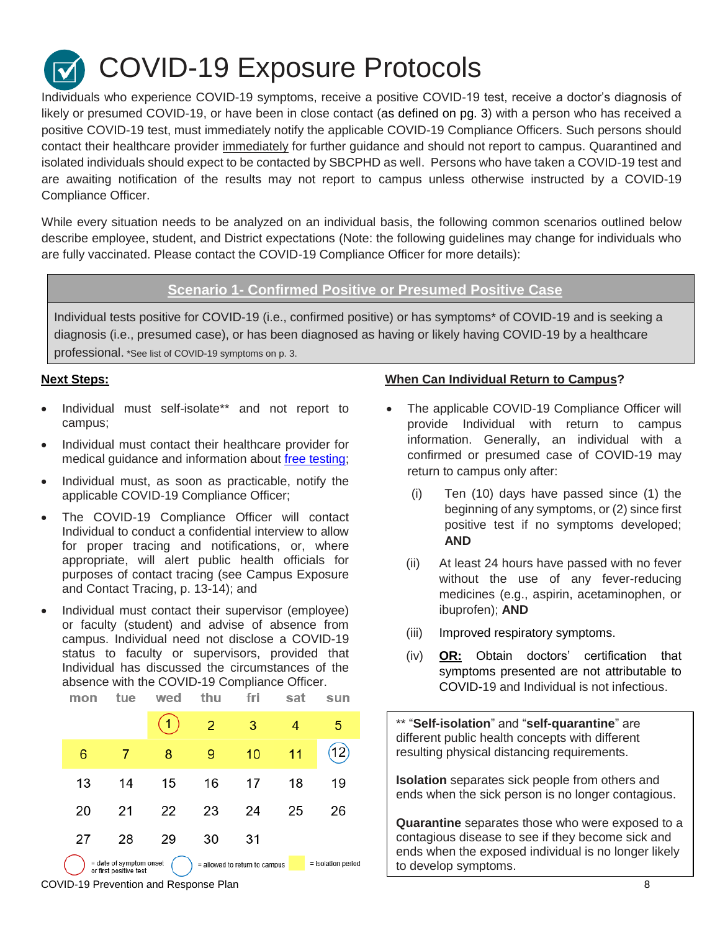COVID-19 Exposure Protocols

Individuals who experience COVID-19 symptoms, receive a positive COVID-19 test, receive a doctor's diagnosis of likely or presumed COVID-19, or have been in close contact (as defined on pg. 3) with a person who has received a positive COVID-19 test, must immediately notify the applicable COVID-19 Compliance Officers. Such persons should contact their healthcare provider immediately for further guidance and should not report to campus. Quarantined and isolated individuals should expect to be contacted by SBCPHD as well. Persons who have taken a COVID-19 test and are awaiting notification of the results may not report to campus unless otherwise instructed by a COVID-19 Compliance Officer.

While every situation needs to be analyzed on an individual basis, the following common scenarios outlined below describe employee, student, and District expectations (Note: the following guidelines may change for individuals who are fully vaccinated. Please contact the COVID-19 Compliance Officer for more details):

#### **Scenario 1- Confirmed Positive or Presumed Positive Case**

Individual tests positive for COVID-19 (i.e., confirmed positive) or has symptoms\* of COVID-19 and is seeking a diagnosis (i.e., presumed case), or has been diagnosed as having or likely having COVID-19 by a healthcare professional. \*See list of COVID-19 symptoms on p. 3.

- Individual must self-isolate\*\* and not report to campus;
- Individual must contact their healthcare provider for medical guidance and information about [free testing;](https://publichealthsbc.org/testing/)
- Individual must, as soon as practicable, notify the applicable COVID-19 Compliance Officer;
- The COVID-19 Compliance Officer will contact Individual to conduct a confidential interview to allow for proper tracing and notifications, or, where appropriate, will alert public health officials for purposes of contact tracing (see Campus Exposure and Contact Tracing, p. 13-14); and
- Individual must contact their supervisor (employee) or faculty (student) and advise of absence from campus. Individual need not disclose a COVID-19 status to faculty or supervisors, provided that Individual has discussed the circumstances of the absence with the COVID-19 Compliance Officer.

|                                                                                                          | mon | τue | wea |    |    | saτ | sun |  |
|----------------------------------------------------------------------------------------------------------|-----|-----|-----|----|----|-----|-----|--|
|                                                                                                          |     |     |     | 2  | 3  |     | 5   |  |
|                                                                                                          | 6   |     | 8   | 9  | 10 | 11  | 12) |  |
|                                                                                                          | 13  | 14  | 15  | 16 | 17 | 18  | 19  |  |
|                                                                                                          | 20  | 21  | 22  | 23 | 24 | 25  | 26  |  |
|                                                                                                          | 27  | 28  | 29  | 30 | 31 |     |     |  |
| = date of symptom onset<br>= isolation period<br>= allowed to return to campus<br>or first positive test |     |     |     |    |    |     |     |  |

#### **Next Steps: When Can Individual Return to Campus?**

- The applicable COVID-19 Compliance Officer will provide Individual with return to campus information. Generally, an individual with a confirmed or presumed case of COVID-19 may return to campus only after:
	- (i) Ten (10) days have passed since (1) the beginning of any symptoms, or (2) since first positive test if no symptoms developed; **AND**
	- (ii) At least 24 hours have passed with no fever without the use of any fever-reducing medicines (e.g., aspirin, acetaminophen, or ibuprofen); **AND**
	- (iii) Improved respiratory symptoms.
	- (iv) **OR:** Obtain doctors' certification that symptoms presented are not attributable to COVID-19 and Individual is not infectious.

\*\* "**Self-isolation**" and "**self-quarantine**" are different public health concepts with different resulting physical distancing requirements.

**Isolation** separates sick people from others and ends when the sick person is no longer contagious.

**Quarantine** separates those who were exposed to a contagious disease to see if they become sick and ends when the exposed individual is no longer likely to develop symptoms.

COVID-19 Prevention and Response Plan 8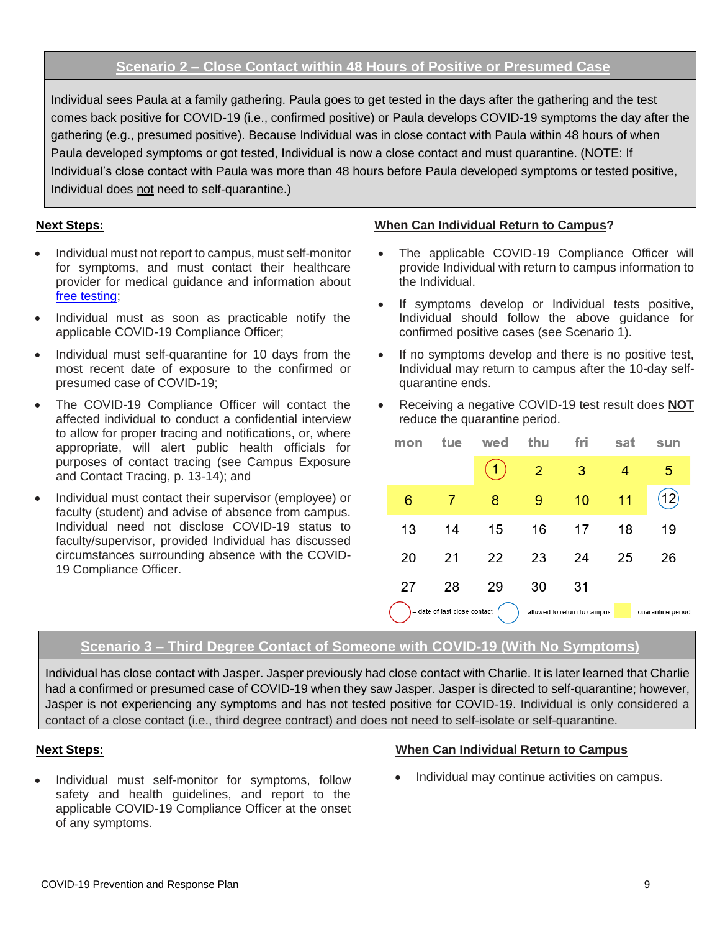### **Scenario 2 – Close Contact within 48 Hours of Positive or Presumed Case**

Individual sees Paula at a family gathering. Paula goes to get tested in the days after the gathering and the test comes back positive for COVID-19 (i.e., confirmed positive) or Paula develops COVID-19 symptoms the day after the gathering (e.g., presumed positive). Because Individual was in close contact with Paula within 48 hours of when Paula developed symptoms or got tested, Individual is now a close contact and must quarantine. (NOTE: If Individual's close contact with Paula was more than 48 hours before Paula developed symptoms or tested positive, Individual does not need to self-quarantine.)

- Individual must not report to campus, must self-monitor for symptoms, and must contact their healthcare provider for medical guidance and information about [free testing;](https://publichealthsbc.org/testing/)
- Individual must as soon as practicable notify the applicable COVID-19 Compliance Officer;
- Individual must self-quarantine for 10 days from the most recent date of exposure to the confirmed or presumed case of COVID-19;
- The COVID-19 Compliance Officer will contact the affected individual to conduct a confidential interview to allow for proper tracing and notifications, or, where appropriate, will alert public health officials for purposes of contact tracing (see Campus Exposure and Contact Tracing, p. 13-14); and
- Individual must contact their supervisor (employee) or faculty (student) and advise of absence from campus. Individual need not disclose COVID-19 status to faculty/supervisor, provided Individual has discussed circumstances surrounding absence with the COVID-19 Compliance Officer.

#### **Next Steps: When Can Individual Return to Campus?**

- The applicable COVID-19 Compliance Officer will provide Individual with return to campus information to the Individual.
- If symptoms develop or Individual tests positive, Individual should follow the above guidance for confirmed positive cases (see Scenario 1).
- If no symptoms develop and there is no positive test, Individual may return to campus after the 10-day selfquarantine ends.
- Receiving a negative COVID-19 test result does **NOT** reduce the quarantine period.

|                                                                                        | mon | tue | wed | thu | fri | sat | sun |
|----------------------------------------------------------------------------------------|-----|-----|-----|-----|-----|-----|-----|
|                                                                                        |     |     |     | 2   | 3   |     | 5   |
|                                                                                        | 6   | 7   | 8   | 9   | 10  | 11  | 12) |
|                                                                                        | 13  | 14  | 15  | 16  | 17  | 18  | 19  |
|                                                                                        | 20  | 21  | 22  | 23  | 24  | 25  | 26  |
|                                                                                        | 27  | 28  | 29  | 30  | 31  |     |     |
| = date of last close contact<br>= allowed to return to campus<br>$=$ quarantine period |     |     |     |     |     |     |     |

#### **Scenario 3 – Third Degree Contact of Someone with COVID-19 (With No Symptoms)**

Individual has close contact with Jasper. Jasper previously had close contact with Charlie. It is later learned that Charlie had a confirmed or presumed case of COVID-19 when they saw Jasper. Jasper is directed to self-quarantine; however, Jasper is not experiencing any symptoms and has not tested positive for COVID-19. Individual is only considered a contact of a close contact (i.e., third degree contract) and does not need to self-isolate or self-quarantine.

 Individual must self-monitor for symptoms, follow safety and health guidelines, and report to the applicable COVID-19 Compliance Officer at the onset of any symptoms.

#### **Next Steps: When Can Individual Return to Campus**

• Individual may continue activities on campus.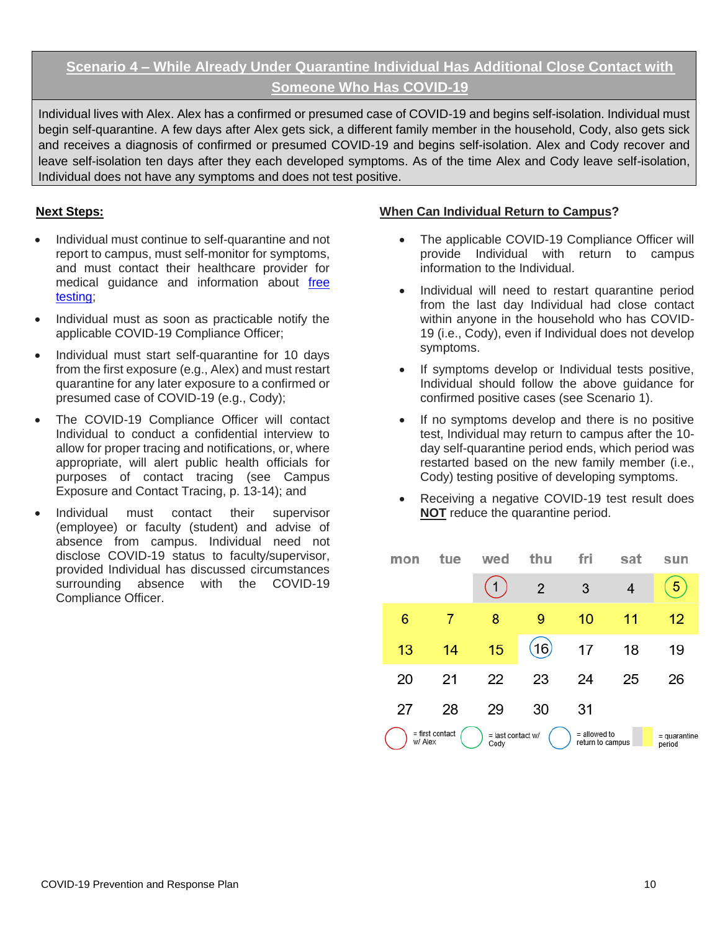### **Scenario 4 – While Already Under Quarantine Individual Has Additional Close Contact with Someone Who Has COVID-19**

Individual lives with Alex. Alex has a confirmed or presumed case of COVID-19 and begins self-isolation. Individual must begin self-quarantine. A few days after Alex gets sick, a different family member in the household, Cody, also gets sick and receives a diagnosis of confirmed or presumed COVID-19 and begins self-isolation. Alex and Cody recover and leave self-isolation ten days after they each developed symptoms. As of the time Alex and Cody leave self-isolation, Individual does not have any symptoms and does not test positive.

- Individual must continue to self-quarantine and not report to campus, must self-monitor for symptoms, and must contact their healthcare provider for medical guidance and information about [free](https://publichealthsbc.org/testing/)  [testing;](https://publichealthsbc.org/testing/)
- Individual must as soon as practicable notify the applicable COVID-19 Compliance Officer;
- Individual must start self-quarantine for 10 days from the first exposure (e.g., Alex) and must restart quarantine for any later exposure to a confirmed or presumed case of COVID-19 (e.g., Cody);
- The COVID-19 Compliance Officer will contact Individual to conduct a confidential interview to allow for proper tracing and notifications, or, where appropriate, will alert public health officials for purposes of contact tracing (see Campus Exposure and Contact Tracing, p. 13-14); and
- Individual must contact their supervisor (employee) or faculty (student) and advise of absence from campus. Individual need not disclose COVID-19 status to faculty/supervisor, provided Individual has discussed circumstances surrounding absence with the COVID-19 Compliance Officer.

#### **Next Steps: When Can Individual Return to Campus?**

- The applicable COVID-19 Compliance Officer will provide Individual with return to campus information to the Individual.
- Individual will need to restart quarantine period from the last day Individual had close contact within anyone in the household who has COVID-19 (i.e., Cody), even if Individual does not develop symptoms.
- If symptoms develop or Individual tests positive, Individual should follow the above guidance for confirmed positive cases (see Scenario 1).
- If no symptoms develop and there is no positive test, Individual may return to campus after the 10 day self-quarantine period ends, which period was restarted based on the new family member (i.e., Cody) testing positive of developing symptoms.
- Receiving a negative COVID-19 test result does **NOT** reduce the quarantine period.

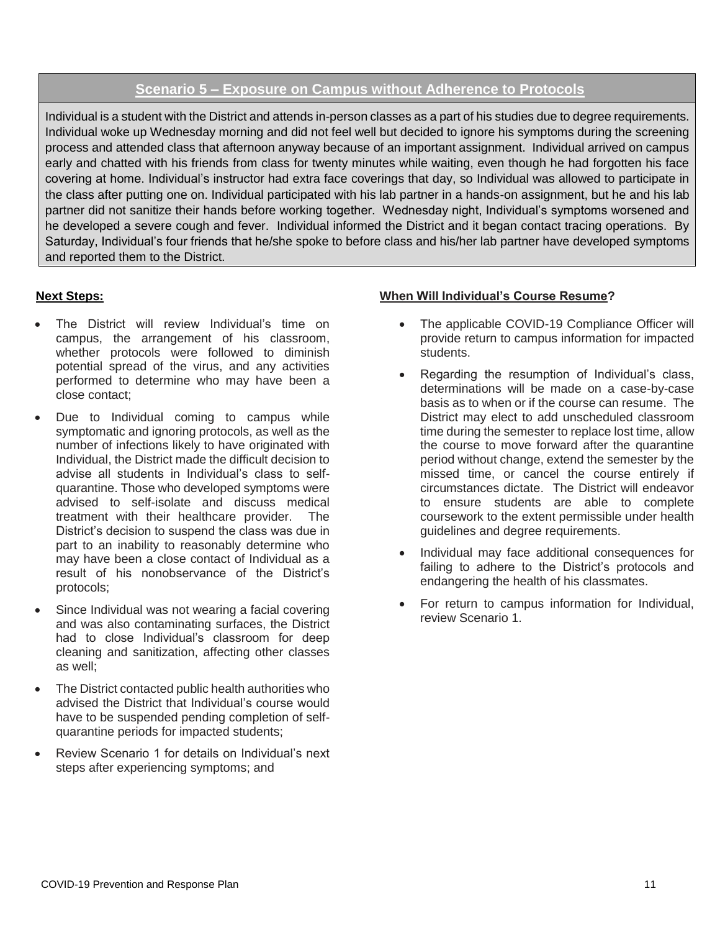#### **Scenario 5 – Exposure on Campus without Adherence to Protocols**

Individual is a student with the District and attends in-person classes as a part of his studies due to degree requirements. Individual woke up Wednesday morning and did not feel well but decided to ignore his symptoms during the screening process and attended class that afternoon anyway because of an important assignment. Individual arrived on campus early and chatted with his friends from class for twenty minutes while waiting, even though he had forgotten his face covering at home. Individual's instructor had extra face coverings that day, so Individual was allowed to participate in the class after putting one on. Individual participated with his lab partner in a hands-on assignment, but he and his lab partner did not sanitize their hands before working together. Wednesday night, Individual's symptoms worsened and he developed a severe cough and fever. Individual informed the District and it began contact tracing operations. By Saturday, Individual's four friends that he/she spoke to before class and his/her lab partner have developed symptoms and reported them to the District.

- The District will review Individual's time on campus, the arrangement of his classroom, whether protocols were followed to diminish potential spread of the virus, and any activities performed to determine who may have been a close contact;
- Due to Individual coming to campus while symptomatic and ignoring protocols, as well as the number of infections likely to have originated with Individual, the District made the difficult decision to advise all students in Individual's class to selfquarantine. Those who developed symptoms were advised to self-isolate and discuss medical treatment with their healthcare provider. The District's decision to suspend the class was due in part to an inability to reasonably determine who may have been a close contact of Individual as a result of his nonobservance of the District's protocols;
- Since Individual was not wearing a facial covering and was also contaminating surfaces, the District had to close Individual's classroom for deep cleaning and sanitization, affecting other classes as well;
- The District contacted public health authorities who advised the District that Individual's course would have to be suspended pending completion of selfquarantine periods for impacted students;
- Review Scenario 1 for details on Individual's next steps after experiencing symptoms; and

#### **Next Steps: When Will Individual's Course Resume?**

- The applicable COVID-19 Compliance Officer will provide return to campus information for impacted students.
- Regarding the resumption of Individual's class, determinations will be made on a case-by-case basis as to when or if the course can resume. The District may elect to add unscheduled classroom time during the semester to replace lost time, allow the course to move forward after the quarantine period without change, extend the semester by the missed time, or cancel the course entirely if circumstances dictate. The District will endeavor to ensure students are able to complete coursework to the extent permissible under health guidelines and degree requirements.
- Individual may face additional consequences for failing to adhere to the District's protocols and endangering the health of his classmates.
- For return to campus information for Individual, review Scenario 1.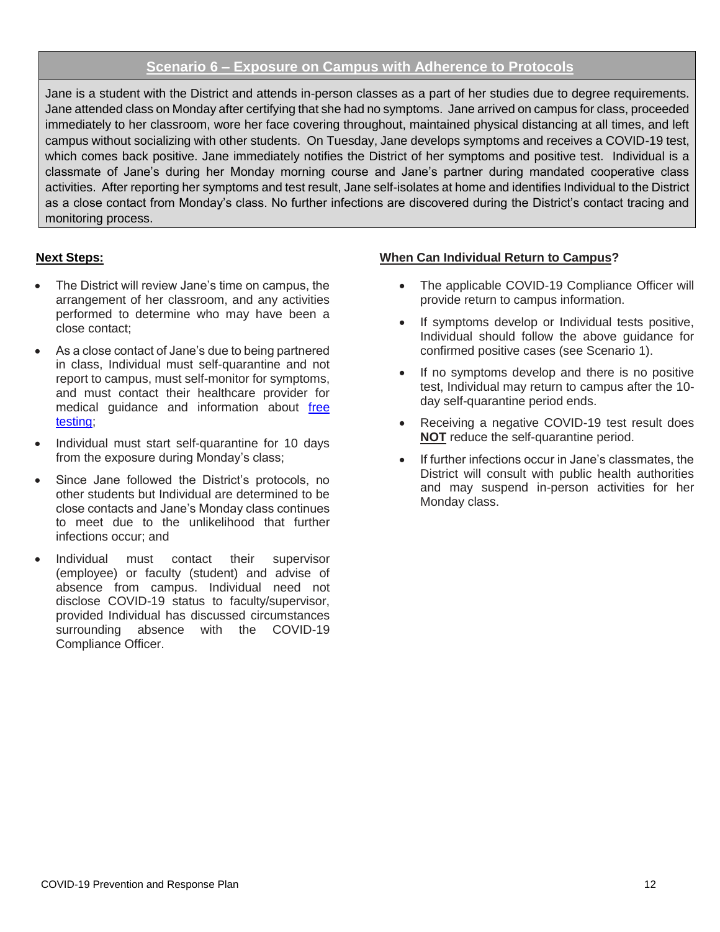#### **Scenario 6 – Exposure on Campus with Adherence to Protocols**

Jane is a student with the District and attends in-person classes as a part of her studies due to degree requirements. Jane attended class on Monday after certifying that she had no symptoms. Jane arrived on campus for class, proceeded immediately to her classroom, wore her face covering throughout, maintained physical distancing at all times, and left campus without socializing with other students. On Tuesday, Jane develops symptoms and receives a COVID-19 test, which comes back positive. Jane immediately notifies the District of her symptoms and positive test. Individual is a classmate of Jane's during her Monday morning course and Jane's partner during mandated cooperative class activities. After reporting her symptoms and test result, Jane self-isolates at home and identifies Individual to the District as a close contact from Monday's class. No further infections are discovered during the District's contact tracing and monitoring process.

- The District will review Jane's time on campus, the arrangement of her classroom, and any activities performed to determine who may have been a close contact;
- As a close contact of Jane's due to being partnered in class, Individual must self-quarantine and not report to campus, must self-monitor for symptoms, and must contact their healthcare provider for medical guidance and information about [free](https://covid19.lacounty.gov/testing/)  [testing;](https://covid19.lacounty.gov/testing/)
- Individual must start self-quarantine for 10 days from the exposure during Monday's class;
- Since Jane followed the District's protocols, no other students but Individual are determined to be close contacts and Jane's Monday class continues to meet due to the unlikelihood that further infections occur; and
- Individual must contact their supervisor (employee) or faculty (student) and advise of absence from campus. Individual need not disclose COVID-19 status to faculty/supervisor, provided Individual has discussed circumstances surrounding absence with the COVID-19 Compliance Officer.

#### **Next Steps: When Can Individual Return to Campus?**

- The applicable COVID-19 Compliance Officer will provide return to campus information.
- If symptoms develop or Individual tests positive, Individual should follow the above guidance for confirmed positive cases (see Scenario 1).
- If no symptoms develop and there is no positive test, Individual may return to campus after the 10 day self-quarantine period ends.
- Receiving a negative COVID-19 test result does **NOT** reduce the self-quarantine period.
- If further infections occur in Jane's classmates, the District will consult with public health authorities and may suspend in-person activities for her Monday class.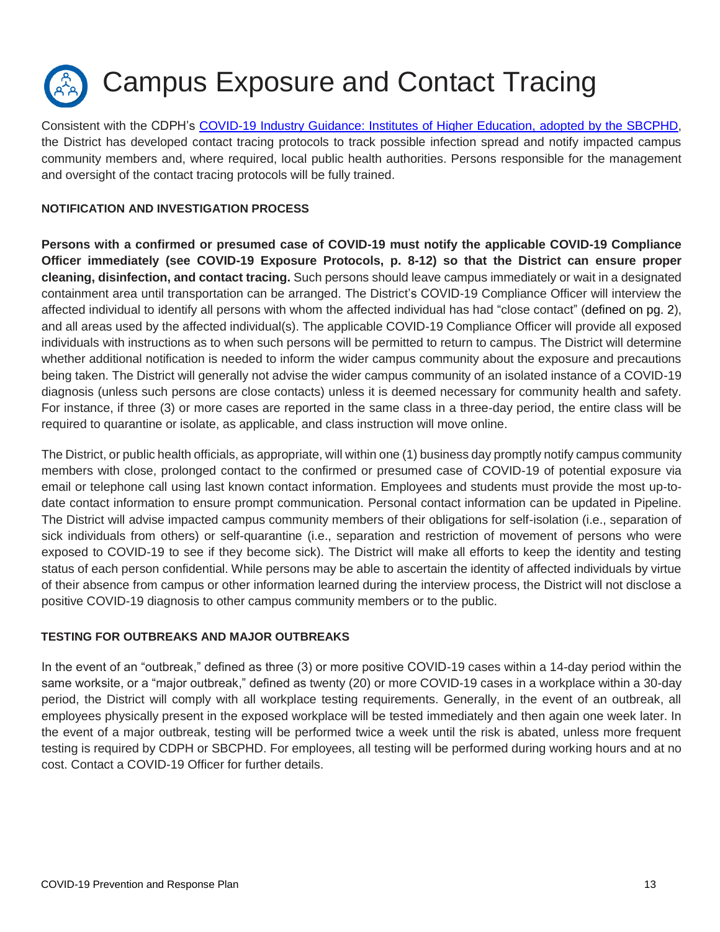

Consistent with the CDPH's [COVID-19 Industry Guidance: Institutes of Higher Education,](https://files.covid19.ca.gov/pdf/guidance-higher-education--en.pdf) adopted by the SBCPHD, the District has developed contact tracing protocols to track possible infection spread and notify impacted campus community members and, where required, local public health authorities. Persons responsible for the management and oversight of the contact tracing protocols will be fully trained.

#### **NOTIFICATION AND INVESTIGATION PROCESS**

**Persons with a confirmed or presumed case of COVID-19 must notify the applicable COVID-19 Compliance Officer immediately (see COVID-19 Exposure Protocols, p. 8-12) so that the District can ensure proper cleaning, disinfection, and contact tracing.** Such persons should leave campus immediately or wait in a designated containment area until transportation can be arranged. The District's COVID-19 Compliance Officer will interview the affected individual to identify all persons with whom the affected individual has had "close contact" (defined on pg. 2), and all areas used by the affected individual(s). The applicable COVID-19 Compliance Officer will provide all exposed individuals with instructions as to when such persons will be permitted to return to campus. The District will determine whether additional notification is needed to inform the wider campus community about the exposure and precautions being taken. The District will generally not advise the wider campus community of an isolated instance of a COVID-19 diagnosis (unless such persons are close contacts) unless it is deemed necessary for community health and safety. For instance, if three (3) or more cases are reported in the same class in a three-day period, the entire class will be required to quarantine or isolate, as applicable, and class instruction will move online.

The District, or public health officials, as appropriate, will within one (1) business day promptly notify campus community members with close, prolonged contact to the confirmed or presumed case of COVID-19 of potential exposure via email or telephone call using last known contact information. Employees and students must provide the most up-todate contact information to ensure prompt communication. Personal contact information can be updated in Pipeline. The District will advise impacted campus community members of their obligations for self-isolation (i.e., separation of sick individuals from others) or self-quarantine (i.e., separation and restriction of movement of persons who were exposed to COVID-19 to see if they become sick). The District will make all efforts to keep the identity and testing status of each person confidential. While persons may be able to ascertain the identity of affected individuals by virtue of their absence from campus or other information learned during the interview process, the District will not disclose a positive COVID-19 diagnosis to other campus community members or to the public.

#### **TESTING FOR OUTBREAKS AND MAJOR OUTBREAKS**

In the event of an "outbreak," defined as three (3) or more positive COVID-19 cases within a 14-day period within the same worksite, or a "major outbreak," defined as twenty (20) or more COVID-19 cases in a workplace within a 30-day period, the District will comply with all workplace testing requirements. Generally, in the event of an outbreak, all employees physically present in the exposed workplace will be tested immediately and then again one week later. In the event of a major outbreak, testing will be performed twice a week until the risk is abated, unless more frequent testing is required by CDPH or SBCPHD. For employees, all testing will be performed during working hours and at no cost. Contact a COVID-19 Officer for further details.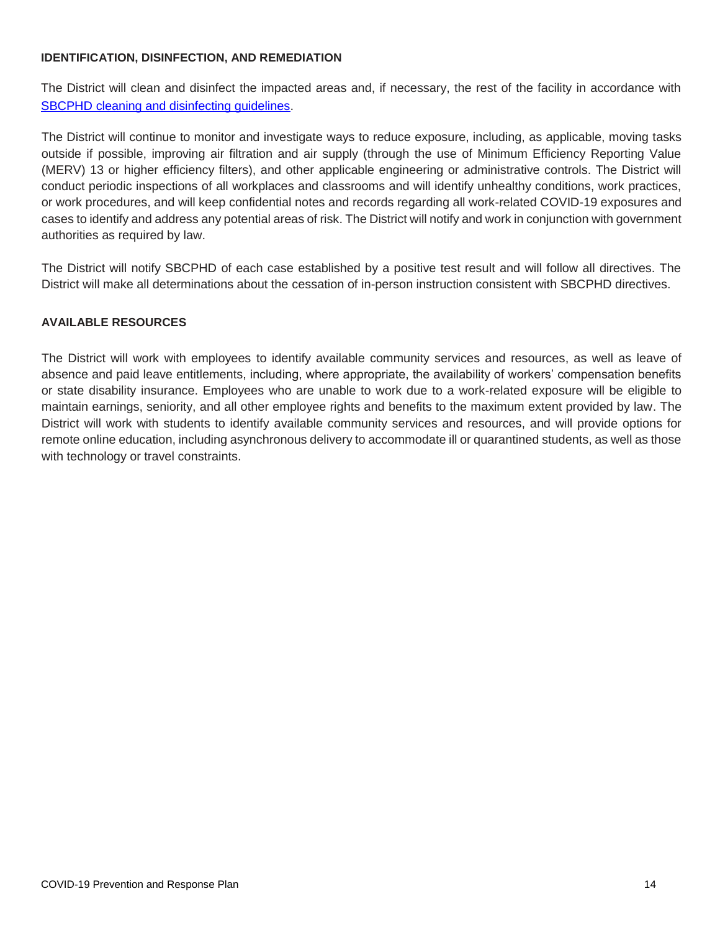#### **IDENTIFICATION, DISINFECTION, AND REMEDIATION**

The District will clean and disinfect the impacted areas and, if necessary, the rest of the facility in accordance with SBCPHD cleaning and disinfecting quidelines.

The District will continue to monitor and investigate ways to reduce exposure, including, as applicable, moving tasks outside if possible, improving air filtration and air supply (through the use of Minimum Efficiency Reporting Value (MERV) 13 or higher efficiency filters), and other applicable engineering or administrative controls. The District will conduct periodic inspections of all workplaces and classrooms and will identify unhealthy conditions, work practices, or work procedures, and will keep confidential notes and records regarding all work-related COVID-19 exposures and cases to identify and address any potential areas of risk. The District will notify and work in conjunction with government authorities as required by law.

The District will notify SBCPHD of each case established by a positive test result and will follow all directives. The District will make all determinations about the cessation of in-person instruction consistent with SBCPHD directives.

#### **AVAILABLE RESOURCES**

The District will work with employees to identify available community services and resources, as well as leave of absence and paid leave entitlements, including, where appropriate, the availability of workers' compensation benefits or state disability insurance. Employees who are unable to work due to a work-related exposure will be eligible to maintain earnings, seniority, and all other employee rights and benefits to the maximum extent provided by law. The District will work with students to identify available community services and resources, and will provide options for remote online education, including asynchronous delivery to accommodate ill or quarantined students, as well as those with technology or travel constraints.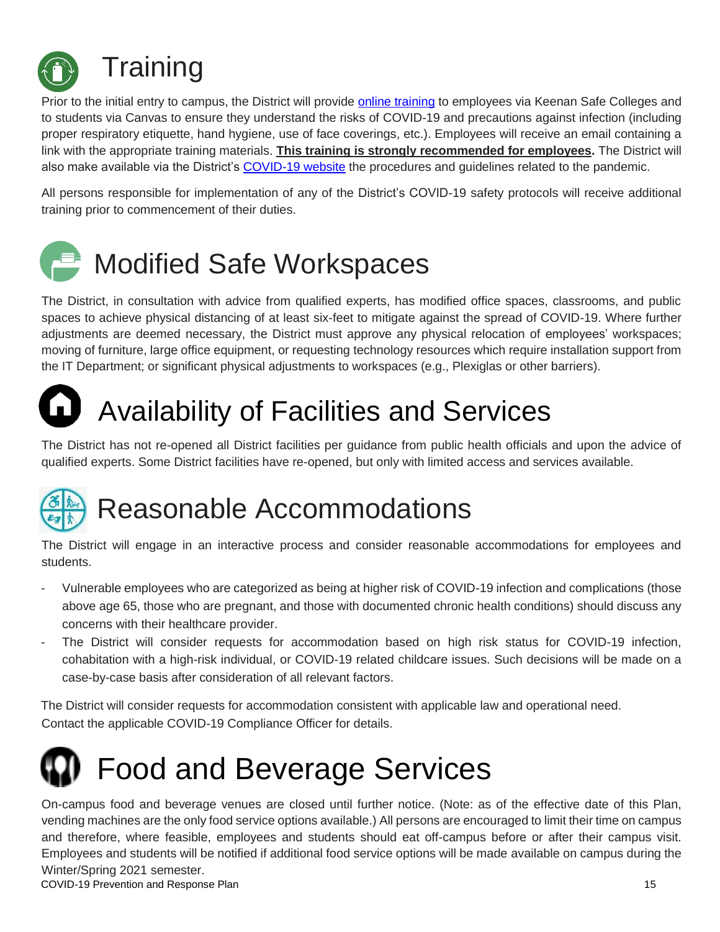

Prior to the initial entry to campus, the District will provide [online training](https://www.sbcc.edu/hr/training.php) to employees via Keenan Safe Colleges and to students via Canvas to ensure they understand the risks of COVID-19 and precautions against infection (including proper respiratory etiquette, hand hygiene, use of face coverings, etc.). Employees will receive an email containing a link with the appropriate training materials. **This training is strongly recommended for employees.** The District will also make available via the District's [COVID-19 website](https://www.sbcc.edu/newsandevents/covid-19/) the procedures and guidelines related to the pandemic.

All persons responsible for implementation of any of the District's COVID-19 safety protocols will receive additional training prior to commencement of their duties.



The District, in consultation with advice from qualified experts, has modified office spaces, classrooms, and public spaces to achieve physical distancing of at least six-feet to mitigate against the spread of COVID-19. Where further adjustments are deemed necessary, the District must approve any physical relocation of employees' workspaces; moving of furniture, large office equipment, or requesting technology resources which require installation support from the IT Department; or significant physical adjustments to workspaces (e.g., Plexiglas or other barriers).



# Availability of Facilities and Services

The District has not re-opened all District facilities per guidance from public health officials and upon the advice of qualified experts. Some District facilities have re-opened, but only with limited access and services available.

# Reasonable Accommodations

The District will engage in an interactive process and consider reasonable accommodations for employees and students.

- Vulnerable employees who are categorized as being at higher risk of COVID-19 infection and complications (those above age 65, those who are pregnant, and those with documented chronic health conditions) should discuss any concerns with their healthcare provider.
- The District will consider requests for accommodation based on high risk status for COVID-19 infection, cohabitation with a high-risk individual, or COVID-19 related childcare issues. Such decisions will be made on a case-by-case basis after consideration of all relevant factors.

The District will consider requests for accommodation consistent with applicable law and operational need. Contact the applicable COVID-19 Compliance Officer for details.



On-campus food and beverage venues are closed until further notice. (Note: as of the effective date of this Plan, vending machines are the only food service options available.) All persons are encouraged to limit their time on campus and therefore, where feasible, employees and students should eat off-campus before or after their campus visit. Employees and students will be notified if additional food service options will be made available on campus during the Winter/Spring 2021 semester.

COVID-19 Prevention and Response Plan 15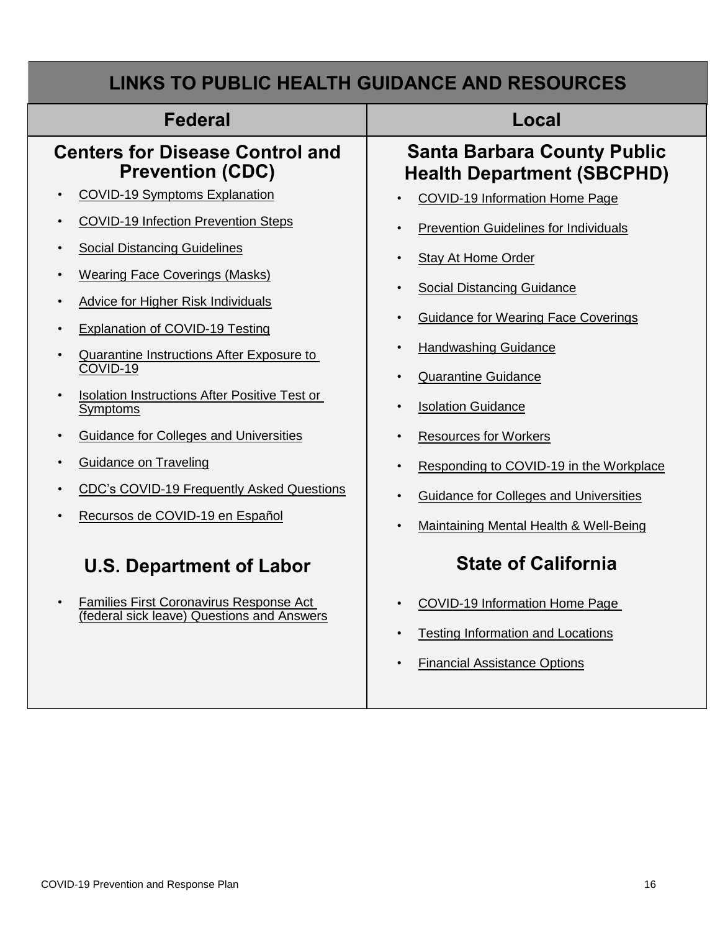| <b>Federal</b>                                                                                                                                                                                                                                                                             | Local                                                                                                                                                                                                                                                                                               |  |  |  |
|--------------------------------------------------------------------------------------------------------------------------------------------------------------------------------------------------------------------------------------------------------------------------------------------|-----------------------------------------------------------------------------------------------------------------------------------------------------------------------------------------------------------------------------------------------------------------------------------------------------|--|--|--|
| <b>Centers for Disease Control and</b>                                                                                                                                                                                                                                                     | <b>Santa Barbara County Public</b>                                                                                                                                                                                                                                                                  |  |  |  |
| <b>Prevention (CDC)</b>                                                                                                                                                                                                                                                                    | <b>Health Department (SBCPHD)</b>                                                                                                                                                                                                                                                                   |  |  |  |
| <b>COVID-19 Symptoms Explanation</b>                                                                                                                                                                                                                                                       | <b>COVID-19 Information Home Page</b>                                                                                                                                                                                                                                                               |  |  |  |
| <b>COVID-19 Infection Prevention Steps</b>                                                                                                                                                                                                                                                 | <b>Prevention Guidelines for Individuals</b>                                                                                                                                                                                                                                                        |  |  |  |
| <b>Social Distancing Guidelines</b>                                                                                                                                                                                                                                                        | <b>Stay At Home Order</b>                                                                                                                                                                                                                                                                           |  |  |  |
| <b>Wearing Face Coverings (Masks)</b>                                                                                                                                                                                                                                                      | <b>Social Distancing Guidance</b>                                                                                                                                                                                                                                                                   |  |  |  |
| <b>Advice for Higher Risk Individuals</b>                                                                                                                                                                                                                                                  | $\bullet$                                                                                                                                                                                                                                                                                           |  |  |  |
| <b>Explanation of COVID-19 Testing</b>                                                                                                                                                                                                                                                     | <b>Guidance for Wearing Face Coverings</b>                                                                                                                                                                                                                                                          |  |  |  |
| Quarantine Instructions After Exposure to<br>COVID-19<br>Isolation Instructions After Positive Test or<br>Symptoms<br><b>Guidance for Colleges and Universities</b><br><b>Guidance on Traveling</b><br><b>CDC's COVID-19 Frequently Asked Questions</b><br>Recursos de COVID-19 en Español | <b>Handwashing Guidance</b><br>$\bullet$<br><b>Quarantine Guidance</b><br><b>Isolation Guidance</b><br><b>Resources for Workers</b><br>$\bullet$<br>Responding to COVID-19 in the Workplace<br>$\bullet$<br><b>Guidance for Colleges and Universities</b><br>Maintaining Mental Health & Well-Being |  |  |  |
| <b>U.S. Department of Labor</b>                                                                                                                                                                                                                                                            | <b>State of California</b>                                                                                                                                                                                                                                                                          |  |  |  |
| <b>Families First Coronavirus Response Act</b>                                                                                                                                                                                                                                             | <b>COVID-19 Information Home Page</b>                                                                                                                                                                                                                                                               |  |  |  |
| $\bullet$                                                                                                                                                                                                                                                                                  | <b>Testing Information and Locations</b>                                                                                                                                                                                                                                                            |  |  |  |
| (federal sick leave) Questions and Answers                                                                                                                                                                                                                                                 | <b>Financial Assistance Options</b>                                                                                                                                                                                                                                                                 |  |  |  |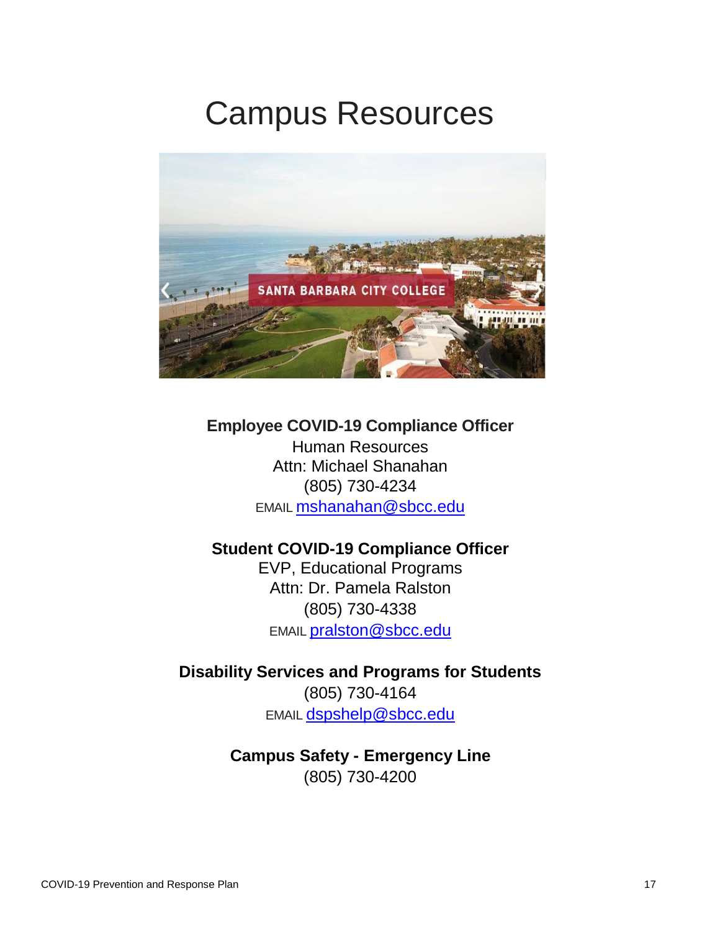## Campus Resources



## **Employee COVID-19 Compliance Officer**

Human Resources Attn: Michael Shanahan (805) 730-4234 [EMAIL](mailto:maria.calderon@canyons.edu) mshanahan@sbcc.edu

### **Student COVID-19 Compliance Officer**

EVP, Educational Programs Attn: Dr. Pamela Ralston (805) 730-4338 [EMAIL](mailto:maria.calderon@canyons.edu) pralston@sbcc.edu

## **Disability Services and Programs for Students**

(805) 730-4164 [EMAIL](mailto:maria.calderon@canyons.edu) dspshelp@sbcc.edu

## **Campus Safety - Emergency Line** (805) 730-4200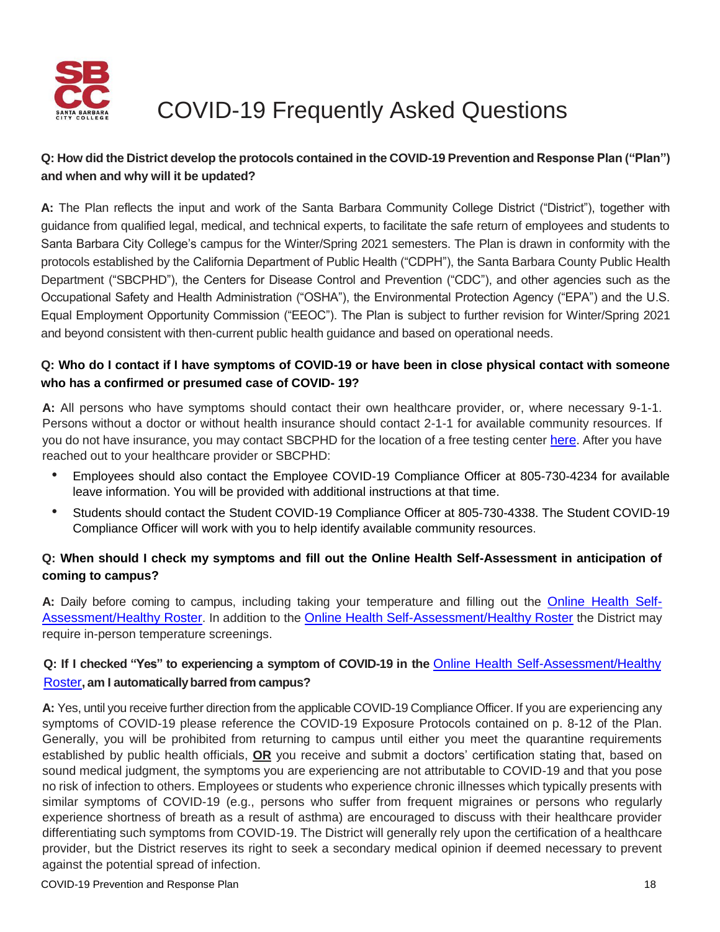

## COVID-19 Frequently Asked Questions

### **Q: How did the District develop the protocols contained in the COVID-19 Prevention and Response Plan ("Plan") and when and why will it be updated?**

**A:** The Plan reflects the input and work of the Santa Barbara Community College District ("District"), together with guidance from qualified legal, medical, and technical experts, to facilitate the safe return of employees and students to Santa Barbara City College's campus for the Winter/Spring 2021 semesters. The Plan is drawn in conformity with the protocols established by the California Department of Public Health ("CDPH"), the Santa Barbara County Public Health Department ("SBCPHD"), the Centers for Disease Control and Prevention ("CDC"), and other agencies such as the Occupational Safety and Health Administration ("OSHA"), the Environmental Protection Agency ("EPA") and the U.S. Equal Employment Opportunity Commission ("EEOC"). The Plan is subject to further revision for Winter/Spring 2021 and beyond consistent with then-current public health guidance and based on operational needs.

#### **Q: Who do I contact if I have symptoms of COVID-19 or have been in close physical contact with someone who has a confirmed or presumed case of COVID- 19?**

**A:** All persons who have symptoms should contact their own healthcare provider, or, where necessary 9-1-1. Persons without a doctor or without health insurance should contact 2-1-1 for available community resources. If you do not have insurance, you may contact SBCPHD for the location of a free testing center [here.](https://publichealthsbc.org/testing/) After you have reached out to your healthcare provider or SBCPHD:

- Employees should also contact the Employee COVID-19 Compliance Officer at 805-730-4234 for available leave information. You will be provided with additional instructions at that time.
- Students should contact the Student COVID-19 Compliance Officer at 805-730-4338. The Student COVID-19 Compliance Officer will work with you to help identify available community resources.

### **Q: When should I check my symptoms and fill out the Online Health Self-Assessment in anticipation of coming to campus?**

**A:** Daily before coming to campus, including taking your temperature and filling out the [Online Health Self-](http://www.sbcc.edu/newsandevents/covid-19/index.php)[Assessment/](http://www.sbcc.edu/newsandevents/covid-19/index.php)Healthy Roster. In addition to the [Online Health Self-Assessment/](http://www.sbcc.edu/newsandevents/covid-19/index.php)Healthy Roster the District may require in-person temperature screenings.

### **Q: If I checked "Yes" to experiencing a symptom of COVID-19 in the** [Online Health Self-Assessment/](http://www.sbcc.edu/newsandevents/covid-19/index.php)Healthy Roster**, am I automaticallybarred from campus?**

**A:** Yes, until you receive further direction from the applicable COVID-19 Compliance Officer. If you are experiencing any symptoms of COVID-19 please reference the COVID-19 Exposure Protocols contained on p. 8-12 of the Plan. Generally, you will be prohibited from returning to campus until either you meet the quarantine requirements established by public health officials, **OR** you receive and submit a doctors' certification stating that, based on sound medical judgment, the symptoms you are experiencing are not attributable to COVID-19 and that you pose no risk of infection to others. Employees or students who experience chronic illnesses which typically presents with similar symptoms of COVID-19 (e.g., persons who suffer from frequent migraines or persons who regularly experience shortness of breath as a result of asthma) are encouraged to discuss with their healthcare provider differentiating such symptoms from COVID-19. The District will generally rely upon the certification of a healthcare provider, but the District reserves its right to seek a secondary medical opinion if deemed necessary to prevent against the potential spread of infection.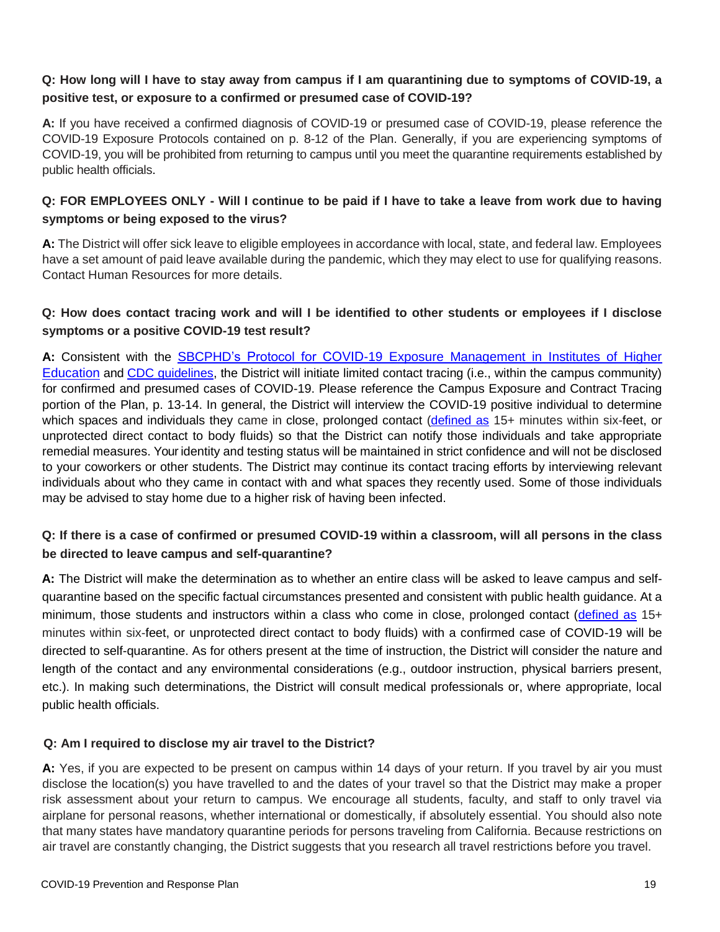#### **Q: How long will I have to stay away from campus if I am quarantining due to symptoms of COVID-19, a positive test, or exposure to a confirmed or presumed case of COVID-19?**

**A:** If you have received a confirmed diagnosis of COVID-19 or presumed case of COVID-19, please reference the COVID-19 Exposure Protocols contained on p. 8-12 of the Plan. Generally, if you are experiencing symptoms of COVID-19, you will be prohibited from returning to campus until you meet the quarantine requirements established by public health officials.

#### **Q: FOR EMPLOYEES ONLY - Will I continue to be paid if I have to take a leave from work due to having symptoms or being exposed to the virus?**

**A:** The District will offer sick leave to eligible employees in accordance with local, state, and federal law. Employees have a set amount of paid leave available during the pandemic, which they may elect to use for qualifying reasons. Contact Human Resources for more details.

#### **Q: How does contact tracing work and will I be identified to other students or employees if I disclose symptoms or a positive COVID-19 test result?**

**A:** Consistent with the [SBCPHD's Protocol for COVID-19 Exposure Management in Institutes of Higher](http://www.publichealth.lacounty.gov/media/Coronavirus/docs/protocols/ExposureManagementPlan_HigherEd.pdf)  [Education](http://www.publichealth.lacounty.gov/media/Coronavirus/docs/protocols/ExposureManagementPlan_HigherEd.pdf) and [CDC guidelines,](https://www.cdc.gov/coronavirus/2019-ncov/php/open-america/contact-tracing-resources.html) the District will initiate limited contact tracing (i.e., within the campus community) for confirmed and presumed cases of COVID-19. Please reference the Campus Exposure and Contract Tracing portion of the Plan, p. 13-14. In general, the District will interview the COVID-19 positive individual to determine which spaces and individuals they came in close, prolonged contact [\(defined as](https://www.cdc.gov/coronavirus/2019-ncov/php/contact-tracing/contact-tracing-plan/contact-tracing.html#:~:text=For%20COVID%2D19%2C%20a%20close,time%20the%20patient%20is%20isolated.) 15+ minutes within six-feet, or unprotected direct contact to body fluids) so that the District can notify those individuals and take appropriate remedial measures. Your identity and testing status will be maintained in strict confidence and will not be disclosed to your coworkers or other students. The District may continue its contact tracing efforts by interviewing relevant individuals about who they came in contact with and what spaces they recently used. Some of those individuals may be advised to stay home due to a higher risk of having been infected.

#### **Q: If there is a case of confirmed or presumed COVID-19 within a classroom, will all persons in the class be directed to leave campus and self-quarantine?**

**A:** The District will make the determination as to whether an entire class will be asked to leave campus and selfquarantine based on the specific factual circumstances presented and consistent with public health guidance. At a minimum, those students and instructors within a class who come in close, prolonged contact [\(defined as](https://www.cdc.gov/coronavirus/2019-ncov/php/contact-tracing/contact-tracing-plan/contact-tracing.html#:~:text=For%20COVID%2D19%2C%20a%20close,time%20the%20patient%20is%20isolated.) 15+ minutes within six-feet, or unprotected direct contact to body fluids) with a confirmed case of COVID-19 will be directed to self-quarantine. As for others present at the time of instruction, the District will consider the nature and length of the contact and any environmental considerations (e.g., outdoor instruction, physical barriers present, etc.). In making such determinations, the District will consult medical professionals or, where appropriate, local public health officials.

#### **Q: Am I required to disclose my air travel to the District?**

**A:** Yes, if you are expected to be present on campus within 14 days of your return. If you travel by air you must disclose the location(s) you have travelled to and the dates of your travel so that the District may make a proper risk assessment about your return to campus. We encourage all students, faculty, and staff to only travel via airplane for personal reasons, whether international or domestically, if absolutely essential. You should also note that many states have mandatory quarantine periods for persons traveling from California. Because restrictions on air travel are constantly changing, the District suggests that you research all travel restrictions before you travel.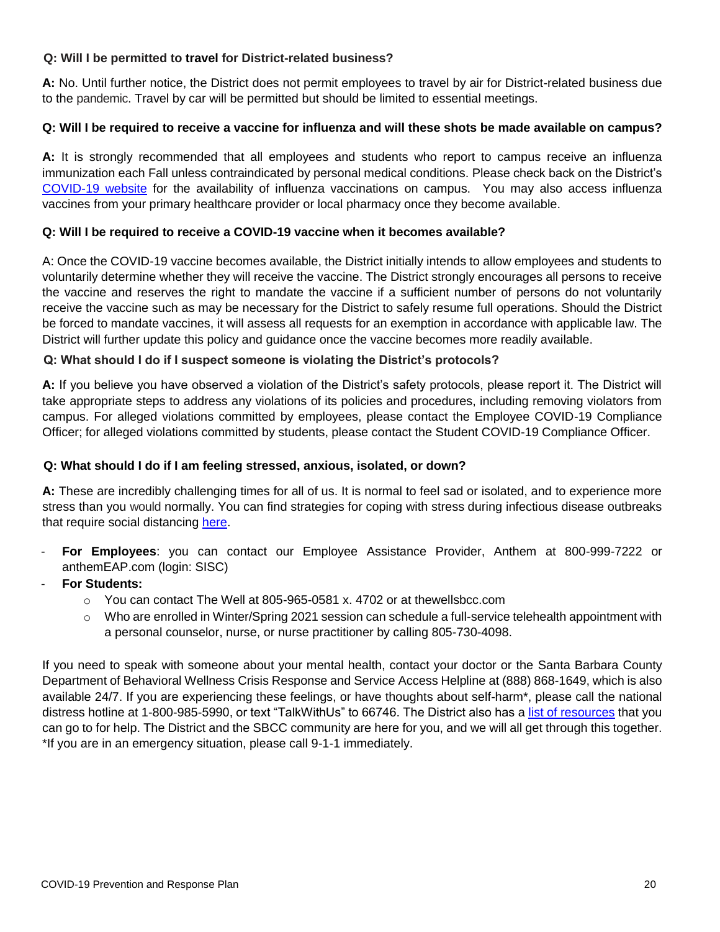#### **Q: Will I be permitted to travel for District-related business?**

**A:** No. Until further notice, the District does not permit employees to travel by air for District-related business due to the pandemic. Travel by car will be permitted but should be limited to essential meetings.

#### **Q: Will I be required to receive a vaccine for influenza and will these shots be made available on campus?**

**A:** It is strongly recommended that all employees and students who report to campus receive an influenza immunization each Fall unless contraindicated by personal medical conditions. Please check back on the District's [COVID-19 website](https://www.sbcc.edu/newsandevents/covid-19/) for the availability of influenza vaccinations on campus. You may also access influenza vaccines from your primary healthcare provider or local pharmacy once they become available.

#### **Q: Will I be required to receive a COVID-19 vaccine when it becomes available?**

A: Once the COVID-19 vaccine becomes available, the District initially intends to allow employees and students to voluntarily determine whether they will receive the vaccine. The District strongly encourages all persons to receive the vaccine and reserves the right to mandate the vaccine if a sufficient number of persons do not voluntarily receive the vaccine such as may be necessary for the District to safely resume full operations. Should the District be forced to mandate vaccines, it will assess all requests for an exemption in accordance with applicable law. The District will further update this policy and guidance once the vaccine becomes more readily available.

#### **Q: What should I do if I suspect someone is violating the District's protocols?**

**A:** If you believe you have observed a violation of the District's safety protocols, please report it. The District will take appropriate steps to address any violations of its policies and procedures, including removing violators from campus. For alleged violations committed by employees, please contact the Employee COVID-19 Compliance Officer; for alleged violations committed by students, please contact the Student COVID-19 Compliance Officer.

#### **Q: What should I do if I am feeling stressed, anxious, isolated, or down?**

**A:** These are incredibly challenging times for all of us. It is normal to feel sad or isolated, and to experience more stress than you would normally. You can find strategies for coping with stress during infectious disease outbreaks that require social distancing [here.](https://www.countyofsb.org/behavioral-wellness/covid-19-staff-resources.sbc)

- **For Employees**: you can contact our Employee Assistance Provider, Anthem at 800-999-7222 or anthemEAP.com (login: SISC)
- **For Students:**
	- o You can contact The Well at 805-965-0581 x. 4702 or at thewellsbcc.com
	- $\circ$  Who are enrolled in Winter/Spring 2021 session can schedule a full-service telehealth appointment with a personal counselor, nurse, or nurse practitioner by calling 805-730-4098.

If you need to speak with someone about your mental health, contact your doctor or the Santa Barbara County Department of Behavioral Wellness Crisis Response and Service Access Helpline at (888) 868-1649, which is also available 24/7. If you are experiencing these feelings, or have thoughts about self-harm\*, please call the national distress hotline at 1-800-985-5990, or text "TalkWithUs" to 66746. The District also has a [list of resources](https://www.sbcc.edu/healthservices/) that you can go to for help. The District and the SBCC community are here for you, and we will all get through this together. \*If you are in an emergency situation, please call 9-1-1 immediately.